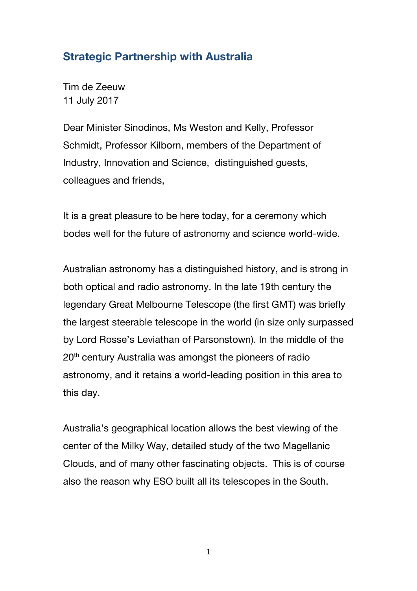## Strategic Partnership with Australia

Tim de Zeeuw 11 July 2017

Dear Minister Sinodinos, Ms Weston and Kelly, Professor Schmidt, Professor Kilborn, members of the Department of Industry, Innovation and Science, distinguished guests, colleagues and friends,

It is a great pleasure to be here today, for a ceremony which bodes well for the future of astronomy and science world-wide.

Australian astronomy has a distinguished history, and is strong in both optical and radio astronomy. In the late 19th century the legendary Great Melbourne Telescope (the first GMT) was briefly the largest steerable telescope in the world (in size only surpassed by Lord Rosse's Leviathan of Parsonstown). In the middle of the 20th century Australia was amongst the pioneers of radio astronomy, and it retains a world-leading position in this area to this day.

Australia's geographical location allows the best viewing of the center of the Milky Way, detailed study of the two Magellanic Clouds, and of many other fascinating objects. This is of course also the reason why ESO built all its telescopes in the South.

1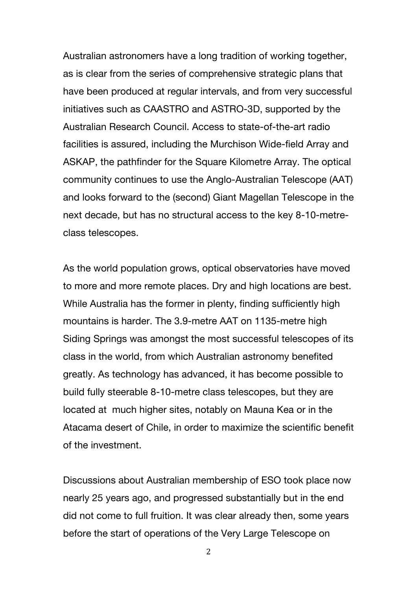Australian astronomers have a long tradition of working together, as is clear from the series of comprehensive strategic plans that have been produced at regular intervals, and from very successful initiatives such as CAASTRO and ASTRO-3D, supported by the Australian Research Council. Access to state-of-the-art radio facilities is assured, including the Murchison Wide-field Array and ASKAP, the pathfinder for the Square Kilometre Array. The optical community continues to use the Anglo-Australian Telescope (AAT) and looks forward to the (second) Giant Magellan Telescope in the next decade, but has no structural access to the key 8-10-metreclass telescopes.

As the world population grows, optical observatories have moved to more and more remote places. Dry and high locations are best. While Australia has the former in plenty, finding sufficiently high mountains is harder. The 3.9-metre AAT on 1135-metre high Siding Springs was amongst the most successful telescopes of its class in the world, from which Australian astronomy benefited greatly. As technology has advanced, it has become possible to build fully steerable 8-10-metre class telescopes, but they are located at much higher sites, notably on Mauna Kea or in the Atacama desert of Chile, in order to maximize the scientific benefit of the investment.

Discussions about Australian membership of ESO took place now nearly 25 years ago, and progressed substantially but in the end did not come to full fruition. It was clear already then, some years before the start of operations of the Very Large Telescope on

2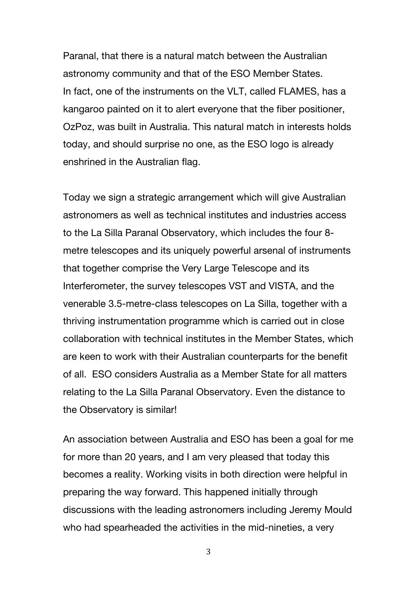Paranal, that there is a natural match between the Australian astronomy community and that of the ESO Member States. In fact, one of the instruments on the VLT, called FLAMES, has a kangaroo painted on it to alert everyone that the fiber positioner, OzPoz, was built in Australia. This natural match in interests holds today, and should surprise no one, as the ESO logo is already enshrined in the Australian flag.

Today we sign a strategic arrangement which will give Australian astronomers as well as technical institutes and industries access to the La Silla Paranal Observatory, which includes the four 8 metre telescopes and its uniquely powerful arsenal of instruments that together comprise the Very Large Telescope and its Interferometer, the survey telescopes VST and VISTA, and the venerable 3.5-metre-class telescopes on La Silla, together with a thriving instrumentation programme which is carried out in close collaboration with technical institutes in the Member States, which are keen to work with their Australian counterparts for the benefit of all. ESO considers Australia as a Member State for all matters relating to the La Silla Paranal Observatory. Even the distance to the Observatory is similar!

An association between Australia and ESO has been a goal for me for more than 20 years, and I am very pleased that today this becomes a reality. Working visits in both direction were helpful in preparing the way forward. This happened initially through discussions with the leading astronomers including Jeremy Mould who had spearheaded the activities in the mid-nineties, a very

3